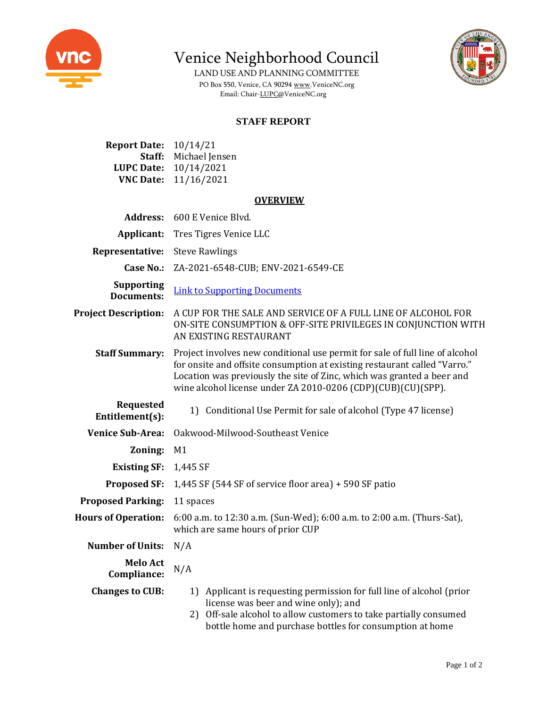

Venice Neighborhood Council

LAND USE AND PLANNING COMMITTEE PO Box 550, Venice, CA 9029[4 www.VeniceNC.org](http://www.venicenc.org/) Email: Chair[-LUPC@VeniceNC.org](mailto:LUPC@VeniceNC.org)



## **STAFF REPORT**

| <b>Report Date:</b> | 10/14/21       |
|---------------------|----------------|
| Staff:              | Michael Jensen |
| <b>LUPC Date:</b>   | 10/14/2021     |
| <b>VNC Date:</b>    | 11/16/2021     |

## **OVERVIEW**

| <b>Address:</b>                        | 600 E Venice Blvd.                                                                                                                                                                                                                                                                                  |
|----------------------------------------|-----------------------------------------------------------------------------------------------------------------------------------------------------------------------------------------------------------------------------------------------------------------------------------------------------|
| Applicant:                             | Tres Tigres Venice LLC                                                                                                                                                                                                                                                                              |
| Representative:                        | <b>Steve Rawlings</b>                                                                                                                                                                                                                                                                               |
| <b>Case No.:</b>                       | ZA-2021-6548-CUB; ENV-2021-6549-CE                                                                                                                                                                                                                                                                  |
| <b>Supporting</b><br><b>Documents:</b> | <b>Link to Supporting Documents</b>                                                                                                                                                                                                                                                                 |
| <b>Project Description:</b>            | A CUP FOR THE SALE AND SERVICE OF A FULL LINE OF ALCOHOL FOR<br>ON-SITE CONSUMPTION & OFF-SITE PRIVILEGES IN CONJUNCTION WITH<br>AN EXISTING RESTAURANT                                                                                                                                             |
| <b>Staff Summary:</b>                  | Project involves new conditional use permit for sale of full line of alcohol<br>for onsite and offsite consumption at existing restaurant called "Varro."<br>Location was previously the site of Zinc, which was granted a beer and<br>wine alcohol license under ZA 2010-0206 (CDP)(CUB)(CU)(SPP). |
| <b>Requested</b><br>Entitlement(s):    | 1) Conditional Use Permit for sale of alcohol (Type 47 license)                                                                                                                                                                                                                                     |
| <b>Venice Sub-Area:</b>                | Oakwood-Milwood-Southeast Venice                                                                                                                                                                                                                                                                    |
| Zoning:                                | M1                                                                                                                                                                                                                                                                                                  |
| <b>Existing SF:</b>                    | 1,445 SF                                                                                                                                                                                                                                                                                            |
| <b>Proposed SF:</b>                    | 1,445 SF (544 SF of service floor area) $+$ 590 SF patio                                                                                                                                                                                                                                            |
| <b>Proposed Parking:</b>               | 11 spaces                                                                                                                                                                                                                                                                                           |
| <b>Hours of Operation:</b>             | 6:00 a.m. to 12:30 a.m. (Sun-Wed); 6:00 a.m. to 2:00 a.m. (Thurs-Sat),<br>which are same hours of prior CUP                                                                                                                                                                                         |
| <b>Number of Units:</b>                | N/A                                                                                                                                                                                                                                                                                                 |
| <b>Melo Act</b><br>Compliance:         | N/A                                                                                                                                                                                                                                                                                                 |
| <b>Changes to CUB:</b>                 | 1) Applicant is requesting permission for full line of alcohol (prior<br>license was beer and wine only); and<br>Off-sale alcohol to allow customers to take partially consumed<br>2)<br>bottle home and purchase bottles for consumption at home                                                   |